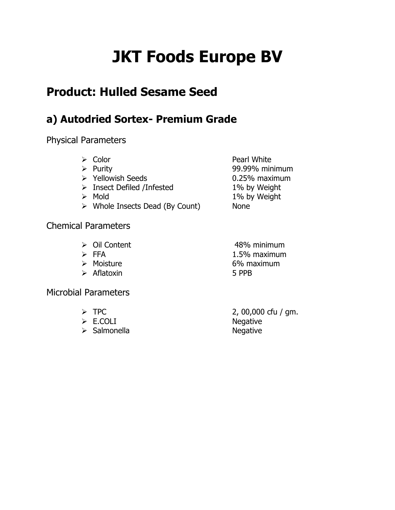# **JKT Foods Europe BV**

## **Product: Hulled Sesame Seed**

#### **a) Autodried Sortex- Premium Grade**

Physical Parameters

| Color<br>Purity<br>➤<br>> Yellowish Seeds<br>$\triangleright$ Insect Defiled /Infested<br>Mold<br>➤<br>$\triangleright$ Whole Insects Dead (By Count) | Pearl White<br>99.99% minimum<br>0.25% maximum<br>1% by Weight<br>1% by Weight<br><b>None</b> |
|-------------------------------------------------------------------------------------------------------------------------------------------------------|-----------------------------------------------------------------------------------------------|
| <b>Chemical Parameters</b>                                                                                                                            |                                                                                               |
| $\triangleright$ Oil Content<br>$\triangleright$ FFA<br>Moisture                                                                                      | 48% minimum<br>1.5% maximum<br>6% maximum                                                     |

Aflatoxin 5 PPB

Microbial Parameters

- 
- 
- > Salmonella Negative

 $\triangleright$  TPC 2, 00,000 cfu / gm. E.COLI Negative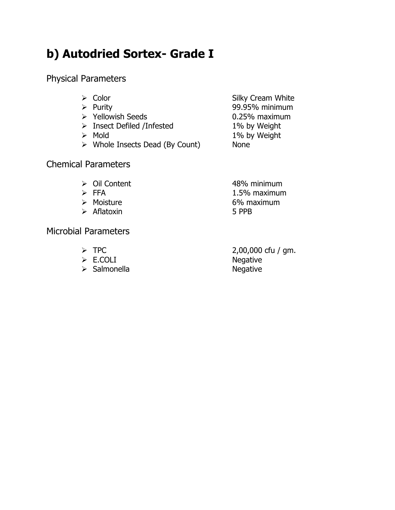## **b) Autodried Sortex- Grade I**

Physical Parameters

| $\triangleright$ Color                         | Silky Cream White |
|------------------------------------------------|-------------------|
| $\triangleright$ Purity                        | 99.95% minimum    |
| $\triangleright$ Yellowish Seeds               | 0.25% maximum     |
| $\triangleright$ Insect Defiled /Infested      | 1% by Weight      |
| $\triangleright$ Mold                          | 1% by Weight      |
| $\triangleright$ Whole Insects Dead (By Count) | <b>None</b>       |
|                                                |                   |
|                                                |                   |

#### Chemical Parameters

- 
- 
- 
- Aflatoxin 5 PPB

Microbial Parameters

- 
- $\triangleright$  E.COLI
- > Salmonella Negative

→ Oil Content 48% minimum<br>
→ FFA 1.5% maximum 1.5% maximum > Moisture 6% maximum

 $\geq$  TPC 2,00,000 cfu / gm.<br> $\geq$  E.COLI Negative